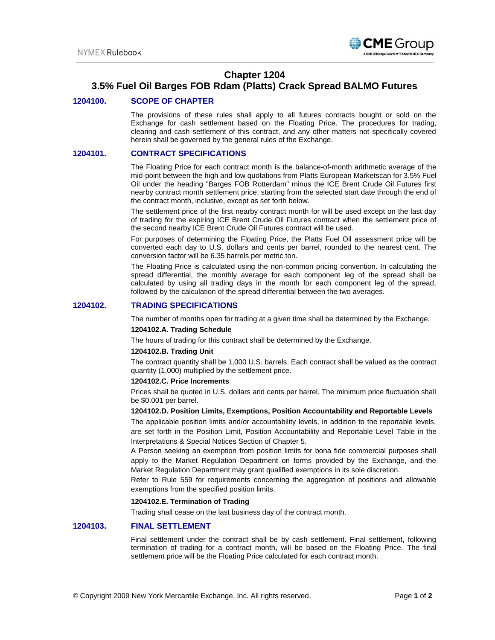

## **Chapter 1204**

# **3.5% Fuel Oil Barges FOB Rdam (Platts) Crack Spread BALMO Futures**

## **1204100. SCOPE OF CHAPTER**

The provisions of these rules shall apply to all futures contracts bought or sold on the Exchange for cash settlement based on the Floating Price. The procedures for trading, clearing and cash settlement of this contract, and any other matters not specifically covered herein shall be governed by the general rules of the Exchange.

### **1204101. CONTRACT SPECIFICATIONS**

The Floating Price for each contract month is the balance-of-month arithmetic average of the mid-point between the high and low quotations from Platts European Marketscan for 3.5% Fuel Oil under the heading "Barges FOB Rotterdam" minus the ICE Brent Crude Oil Futures first nearby contract month settlement price, starting from the selected start date through the end of the contract month, inclusive, except as set forth below.

The settlement price of the first nearby contract month for will be used except on the last day of trading for the expiring ICE Brent Crude Oil Futures contract when the settlement price of the second nearby ICE Brent Crude Oil Futures contract will be used.

For purposes of determining the Floating Price, the Platts Fuel Oil assessment price will be converted each day to U.S. dollars and cents per barrel, rounded to the nearest cent. The conversion factor will be 6.35 barrels per metric ton.

The Floating Price is calculated using the non-common pricing convention. In calculating the spread differential, the monthly average for each component leg of the spread shall be calculated by using all trading days in the month for each component leg of the spread, followed by the calculation of the spread differential between the two averages.

## **1204102. TRADING SPECIFICATIONS**

The number of months open for trading at a given time shall be determined by the Exchange.

#### **1204102.A. Trading Schedule**

The hours of trading for this contract shall be determined by the Exchange.

#### **1204102.B. Trading Unit**

The contract quantity shall be 1,000 U.S. barrels. Each contract shall be valued as the contract quantity (1,000) multiplied by the settlement price.

#### **1204102.C. Price Increments**

Prices shall be quoted in U.S. dollars and cents per barrel. The minimum price fluctuation shall be \$0.001 per barrel.

### **1204102.D. Position Limits, Exemptions, Position Accountability and Reportable Levels**

The applicable position limits and/or accountability levels, in addition to the reportable levels, are set forth in the Position Limit, Position Accountability and Reportable Level Table in the Interpretations & Special Notices Section of Chapter 5.

A Person seeking an exemption from position limits for bona fide commercial purposes shall apply to the Market Regulation Department on forms provided by the Exchange, and the Market Regulation Department may grant qualified exemptions in its sole discretion.

Refer to Rule 559 for requirements concerning the aggregation of positions and allowable exemptions from the specified position limits.

#### **1204102.E. Termination of Trading**

Trading shall cease on the last business day of the contract month.

## **1204103. FINAL SETTLEMENT**

Final settlement under the contract shall be by cash settlement. Final settlement, following termination of trading for a contract month, will be based on the Floating Price. The final settlement price will be the Floating Price calculated for each contract month.